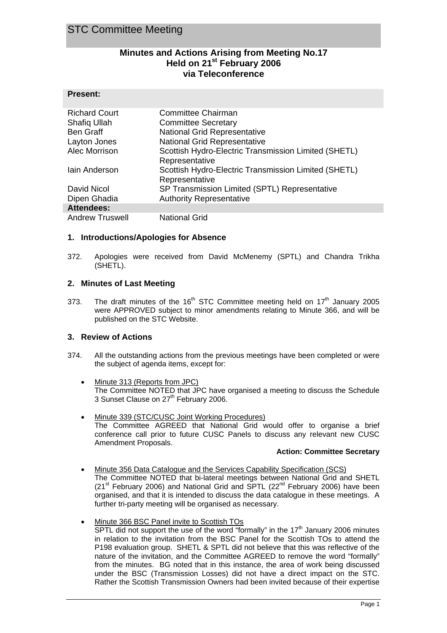**Present:** 

# **Minutes and Actions Arising from Meeting No.17 Held on 21st February 2006 via Teleconference**

| . . 696.             |                                                      |
|----------------------|------------------------------------------------------|
| <b>Richard Court</b> | Committee Chairman                                   |
| Shafiq Ullah         | <b>Committee Secretary</b>                           |
| <b>Ben Graff</b>     | <b>National Grid Representative</b>                  |
| Layton Jones         | <b>National Grid Representative</b>                  |
| Alec Morrison        | Scottish Hydro-Electric Transmission Limited (SHETL) |
|                      | Representative                                       |
| lain Anderson        | Scottish Hydro-Electric Transmission Limited (SHETL) |
|                      | Representative                                       |
| David Nicol          | SP Transmission Limited (SPTL) Representative        |
| Dipen Ghadia         | <b>Authority Representative</b>                      |
| <b>Attendees:</b>    |                                                      |
| Androw Truewall      | National Crid                                        |

Andrew Truswell National Grid

#### **1. Introductions/Apologies for Absence**

372. Apologies were received from David McMenemy (SPTL) and Chandra Trikha (SHETL).

# **2. Minutes of Last Meeting**

373. The draft minutes of the 16<sup>th</sup> STC Committee meeting held on  $17<sup>th</sup>$  January 2005 were APPROVED subject to minor amendments relating to Minute 366, and will be published on the STC Website.

# **3. Review of Actions**

- 374. All the outstanding actions from the previous meetings have been completed or were the subject of agenda items, except for:
	- Minute 313 (Reports from JPC) The Committee NOTED that JPC have organised a meeting to discuss the Schedule 3 Sunset Clause on 27<sup>th</sup> February 2006.
	- Minute 339 (STC/CUSC Joint Working Procedures) The Committee AGREED that National Grid would offer to organise a brief conference call prior to future CUSC Panels to discuss any relevant new CUSC Amendment Proposals.

#### **Action: Committee Secretary**

- Minute 356 Data Catalogue and the Services Capability Specification (SCS) The Committee NOTED that bi-lateral meetings between National Grid and SHETL  $(21<sup>st</sup>$  February 2006) and National Grid and SPTL  $(22<sup>nd</sup>$  February 2006) have been organised, and that it is intended to discuss the data catalogue in these meetings. A further tri-party meeting will be organised as necessary.
- Minute 366 BSC Panel invite to Scottish TOs

SPTL did not support the use of the word "formally" in the  $17<sup>th</sup>$  January 2006 minutes in relation to the invitation from the BSC Panel for the Scottish TOs to attend the P198 evaluation group. SHETL & SPTL did not believe that this was reflective of the nature of the invitation, and the Committee AGREED to remove the word "formally" from the minutes. BG noted that in this instance, the area of work being discussed under the BSC (Transmission Losses) did not have a direct impact on the STC. Rather the Scottish Transmission Owners had been invited because of their expertise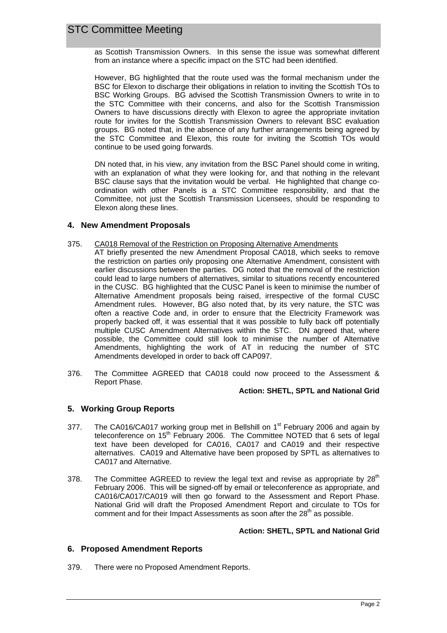as Scottish Transmission Owners. In this sense the issue was somewhat different from an instance where a specific impact on the STC had been identified.

However, BG highlighted that the route used was the formal mechanism under the BSC for Elexon to discharge their obligations in relation to inviting the Scottish TOs to BSC Working Groups. BG advised the Scottish Transmission Owners to write in to the STC Committee with their concerns, and also for the Scottish Transmission Owners to have discussions directly with Elexon to agree the appropriate invitation route for invites for the Scottish Transmission Owners to relevant BSC evaluation groups. BG noted that, in the absence of any further arrangements being agreed by the STC Committee and Elexon, this route for inviting the Scottish TOs would continue to be used going forwards.

DN noted that, in his view, any invitation from the BSC Panel should come in writing, with an explanation of what they were looking for, and that nothing in the relevant BSC clause says that the invitation would be verbal. He highlighted that change coordination with other Panels is a STC Committee responsibility, and that the Committee, not just the Scottish Transmission Licensees, should be responding to Elexon along these lines.

#### **4. New Amendment Proposals**

#### 375. CA018 Removal of the Restriction on Proposing Alternative Amendments

- AT briefly presented the new Amendment Proposal CA018, which seeks to remove the restriction on parties only proposing one Alternative Amendment, consistent with earlier discussions between the parties. DG noted that the removal of the restriction could lead to large numbers of alternatives, similar to situations recently encountered in the CUSC. BG highlighted that the CUSC Panel is keen to minimise the number of Alternative Amendment proposals being raised, irrespective of the formal CUSC Amendment rules. However, BG also noted that, by its very nature, the STC was often a reactive Code and, in order to ensure that the Electricity Framework was properly backed off, it was essential that it was possible to fully back off potentially multiple CUSC Amendment Alternatives within the STC. DN agreed that, where possible, the Committee could still look to minimise the number of Alternative Amendments, highlighting the work of AT in reducing the number of STC Amendments developed in order to back off CAP097.
- 376. The Committee AGREED that CA018 could now proceed to the Assessment & Report Phase.

#### **Action: SHETL, SPTL and National Grid**

# **5. Working Group Reports**

- 377. The CA016/CA017 working group met in Bellshill on  $1<sup>st</sup>$  February 2006 and again by teleconference on 15<sup>th</sup> February 2006. The Committee NOTED that 6 sets of legal text have been developed for CA016, CA017 and CA019 and their respective alternatives. CA019 and Alternative have been proposed by SPTL as alternatives to CA017 and Alternative.
- 378. The Committee AGREED to review the legal text and revise as appropriate by  $28<sup>th</sup>$ February 2006. This will be signed-off by email or teleconference as appropriate, and CA016/CA017/CA019 will then go forward to the Assessment and Report Phase. National Grid will draft the Proposed Amendment Report and circulate to TOs for comment and for their Impact Assessments as soon after the  $28<sup>th</sup>$  as possible.

#### **Action: SHETL, SPTL and National Grid**

# **6. Proposed Amendment Reports**

379. There were no Proposed Amendment Reports.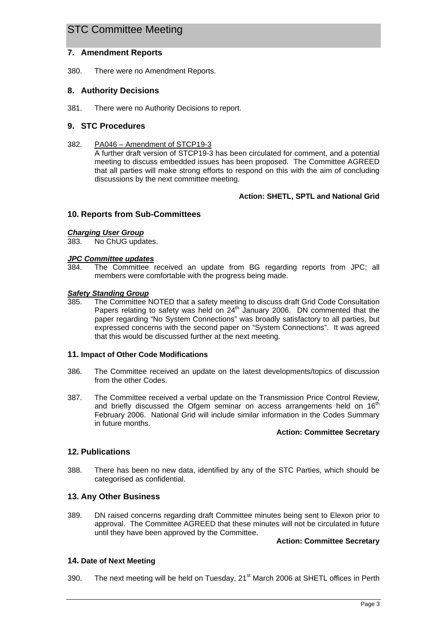# **7. Amendment Reports**

380. There were no Amendment Reports.

# **8. Authority Decisions**

381. There were no Authority Decisions to report.

# **9. STC Procedures**

382. PA046 – Amendment of STCP19-3 A further draft version of STCP19-3 has been circulated for comment, and a potential meeting to discuss embedded issues has been proposed. The Committee AGREED that all parties will make strong efforts to respond on this with the aim of concluding discussions by the next committee meeting.

# **Action: SHETL, SPTL and National Grid**

# **10. Reports from Sub-Committees**

#### *Charging User Group*

383. No ChUG updates.

#### *JPC Committee updates*

384. The Committee received an update from BG regarding reports from JPC; all members were comfortable with the progress being made.

#### *Safety Standing Group*

385. The Committee NOTED that a safety meeting to discuss draft Grid Code Consultation Papers relating to safety was held on  $24<sup>th</sup>$  January 2006. DN commented that the paper regarding "No System Connections" was broadly satisfactory to all parties, but expressed concerns with the second paper on "System Connections". It was agreed that this would be discussed further at the next meeting.

#### **11. Impact of Other Code Modifications**

- 386. The Committee received an update on the latest developments/topics of discussion from the other Codes.
- 387. The Committee received a verbal update on the Transmission Price Control Review, and briefly discussed the Ofgem seminar on access arrangements held on 16<sup>th</sup> February 2006. National Grid will include similar information in the Codes Summary in future months.

#### **Action: Committee Secretary**

# **12. Publications**

388. There has been no new data, identified by any of the STC Parties, which should be categorised as confidential.

# **13. Any Other Business**

389. DN raised concerns regarding draft Committee minutes being sent to Elexon prior to approval. The Committee AGREED that these minutes will not be circulated in future until they have been approved by the Committee.

#### **Action: Committee Secretary**

# **14. Date of Next Meeting**

390. The next meeting will be held on Tuesday,  $21<sup>st</sup>$  March 2006 at SHETL offices in Perth